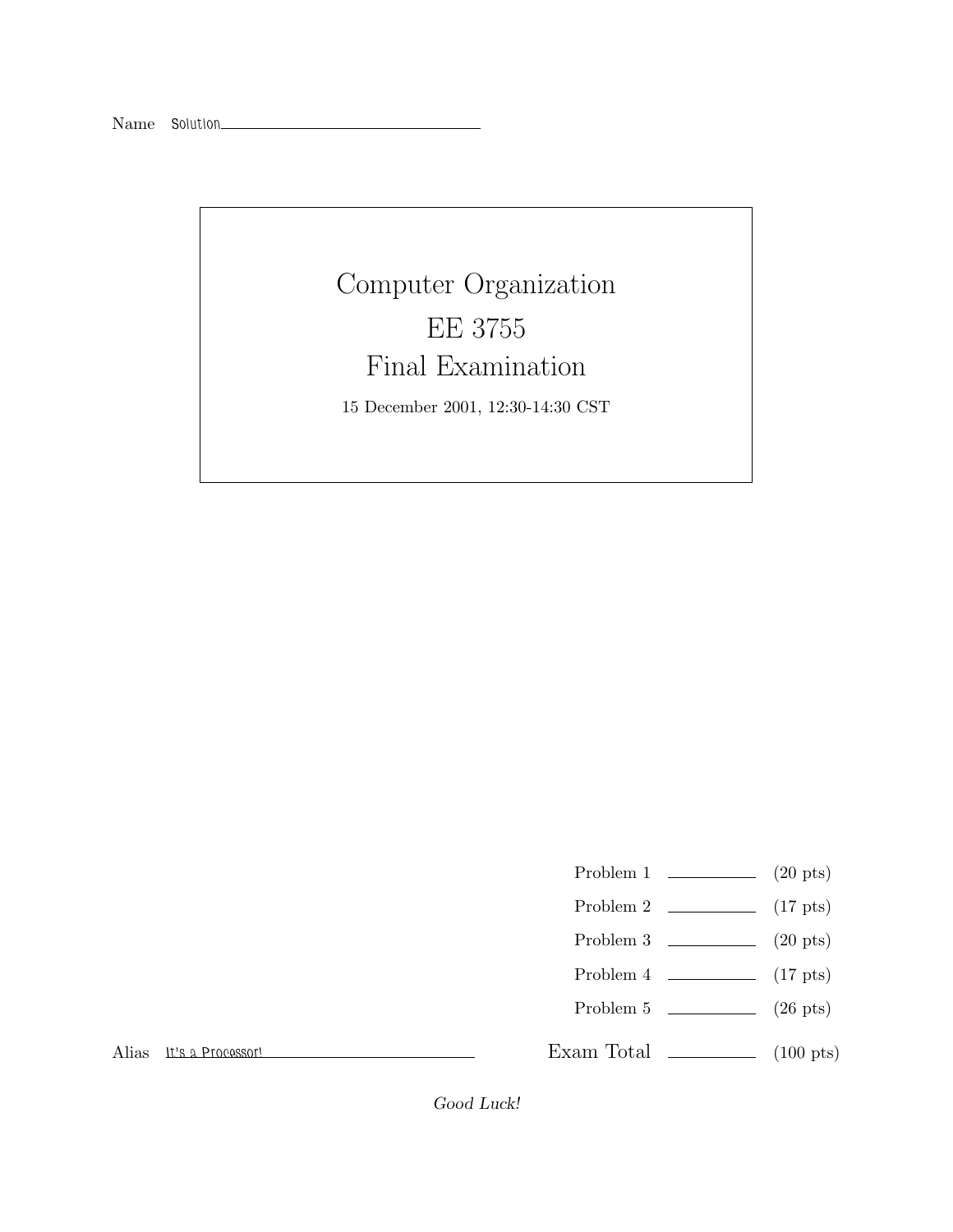## Computer Organization Final Examination

Final Examination 15 December 2001, 12:30-14:30 CST

- Problem 1 (20 pts)
- Problem 2 (17 pts)
- Problem 3 (20 pts)
- Problem 4  $\qquad \qquad$  (17 pts)
- Problem 5 (26 pts)

Alias *It's a Processor!*

Exam Total  $\qquad \qquad$  (100 pts)

Good Luck!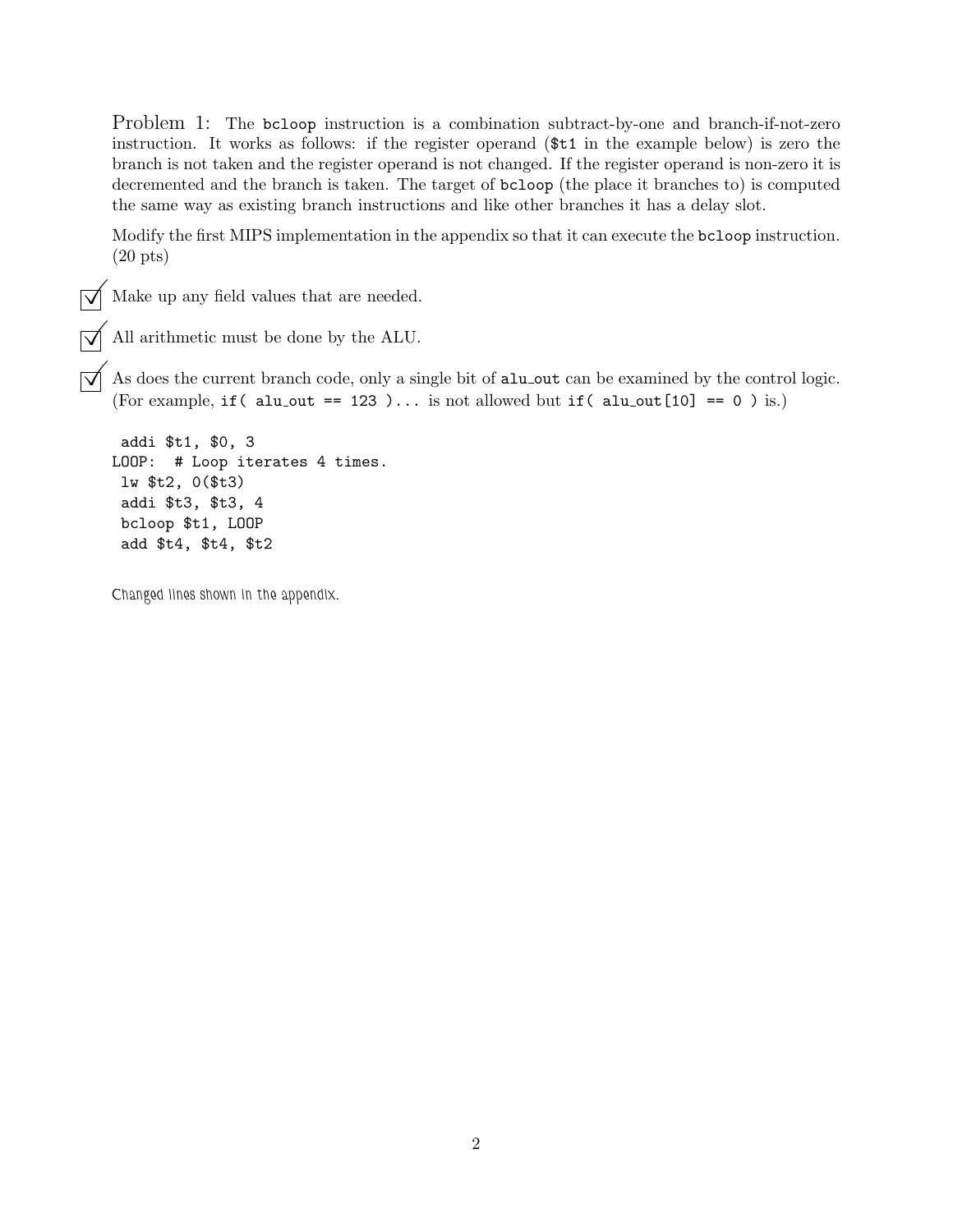Problem 1: The bcloop instruction is a combination subtract-by-one and branch-if-not-zero instruction. It works as follows: if the register operand (\$t1 in the example below) is zero the branch is not taken and the register operand is not changed. If the register operand is non-zero it is decremented and the branch is taken. The target of bcloop (the place it branches to) is computed the same way as existing branch instructions and like other branches it has a delay slot.

Modify the first MIPS implementation in the appendix so that it can execute the bcloop instruction. (20 pts)

 $\sqrt{\phantom{a}}$  Make up any field values that are needed.

© All arithmetic must be done by the ALU.

 $\overrightarrow{\mathcal{A}}$  As does the current branch code, only a single bit of alu\_out can be examined by the control logic. (For example, if ( alu\_out == 123 )... is not allowed but if ( alu\_out [10] == 0 ) is.)

```
addi $t1, $0, 3
LOOP: # Loop iterates 4 times.
lw $t2, 0($t3)
addi $t3, $t3, 4
bcloop $t1, LOOP
 add $t4, $t4, $t2
```
*Changed lines shown in the appendix.*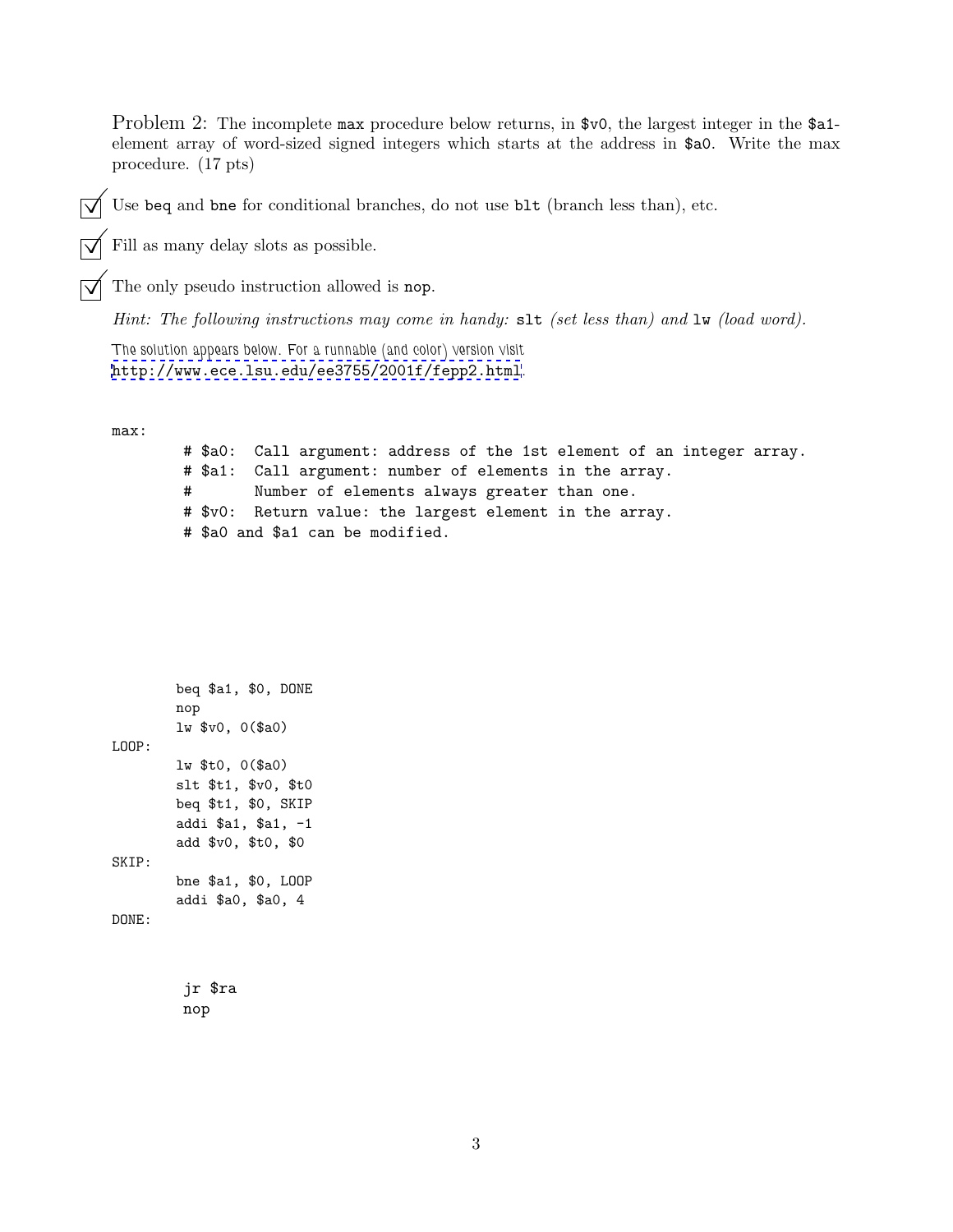Problem 2: The incomplete max procedure below returns, in \$v0, the largest integer in the \$a1element array of word-sized signed integers which starts at the address in \$a0. Write the max procedure. (17 pts)

Use beq and bne for conditional branches, do not use blt (branch less than), etc.

Fill as many delay slots as possible.

The only pseudo instruction allowed is nop.

*Hint: The following instructions may come in handy:* slt *(set less than) and* lw *(load word).*

*The solution appears below. For a runnable (and color) version visit* <http://www.ece.lsu.edu/ee3755/2001f/fepp2.html>*.*

max:

# \$a0: Call argument: address of the 1st element of an integer array. # \$a1: Call argument: number of elements in the array. # Number of elements always greater than one. # \$v0: Return value: the largest element in the array. # \$a0 and \$a1 can be modified.

```
beq $a1, $0, DONE
        nop
        lw $v0, 0($a0)
LOOP:
        lw $t0, 0($a0)
        slt $t1, $v0, $t0
        beq $t1, $0, SKIP
        addi $a1, $a1, -1
        add $v0, $t0, $0
SKIP:
        bne $a1, $0, LOOP
        addi $a0, $a0, 4
DONE:
```
jr \$ra nop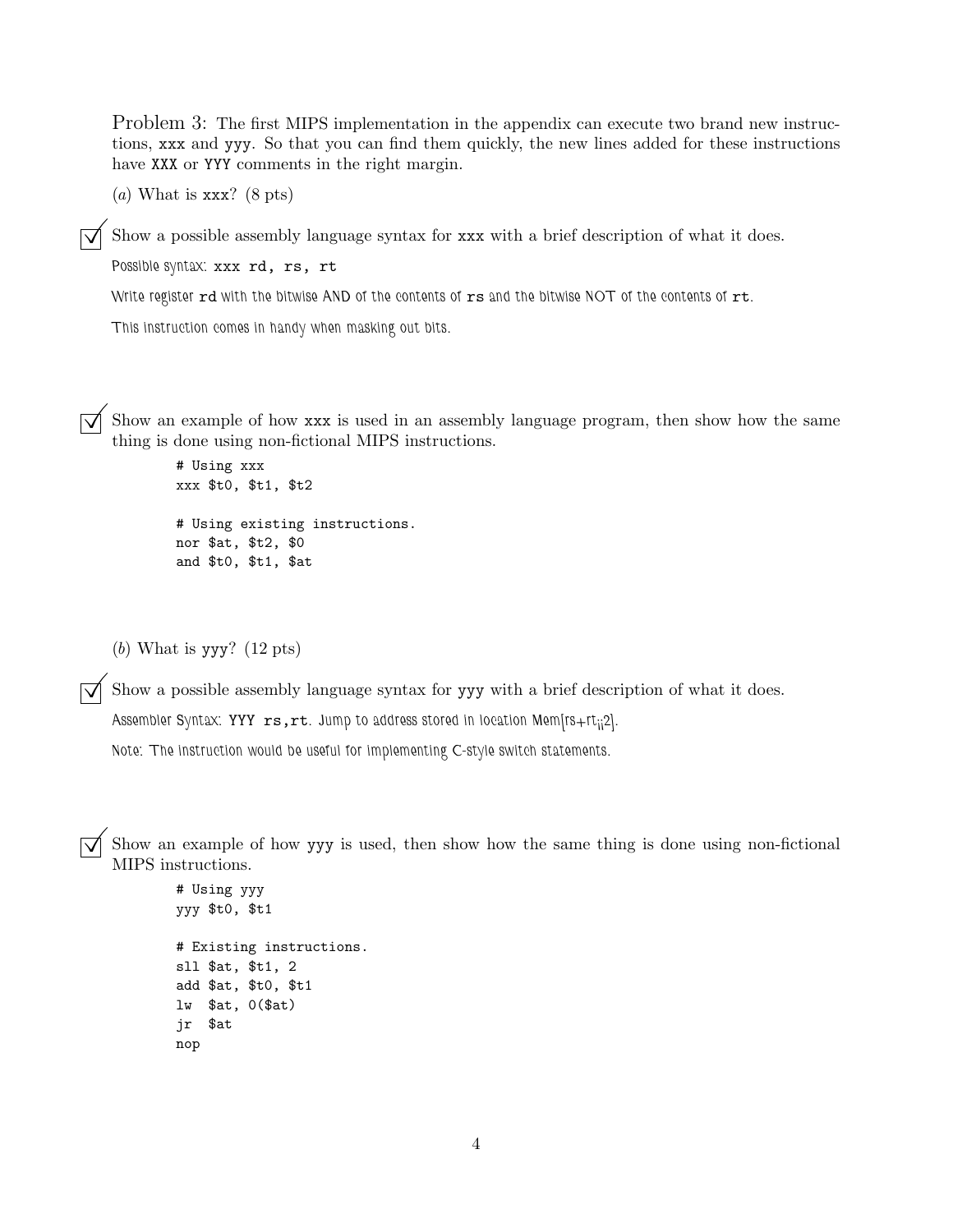Problem 3: The first MIPS implementation in the appendix can execute two brand new instructions, xxx and yyy. So that you can find them quickly, the new lines added for these instructions have XXX or YYY comments in the right margin.

(*a*) What is xxx? (8 pts)

Show a possible assembly language syntax for xxx with a brief description of what it does.

*Possible syntax:* xxx rd, rs, rt

*Write register* rd *with the bitwise AND of the contents of* rs *and the bitwise NOT of the contents of* rt*.*

*This instruction comes in handy when masking out bits.*

Show an example of how xxx is used in an assembly language program, then show how the same thing is done using non-fictional MIPS instructions.

```
# Using xxx
xxx $t0, $t1, $t2
# Using existing instructions.
nor $at, $t2, $0
and $t0, $t1, $at
```
(*b*) What is yyy? (12 pts)

 $\overline{\bigtriangledown}$  Show a possible assembly language syntax for yyy with a brief description of what it does.

Assembler Syntax: YYY  $rs,rt.$  Jump to address stored in location Mem[rs+rt<sub>ii</sub>2].

*Note: The instruction would be useful for implementing C-style switch statements.*

 $\overline{\bigvee}$  Show an example of how yyy is used, then show how the same thing is done using non-fictional MIPS instructions.

```
# Using yyy
yyy $t0, $t1
# Existing instructions.
sll $at, $t1, 2
add $at, $t0, $t1
lw $at, 0($at)
jr $at
nop
```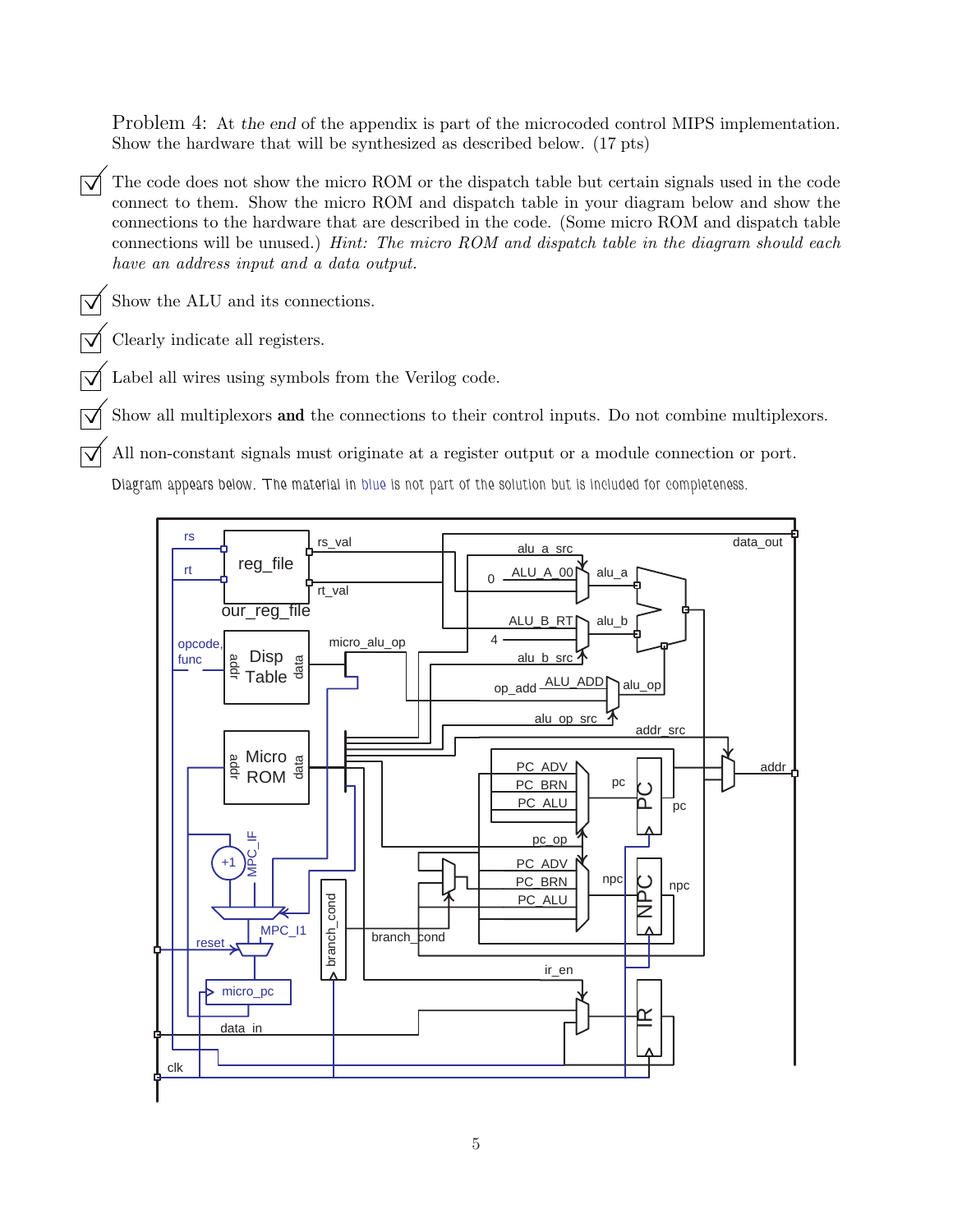Problem 4: At the end of the appendix is part of the microcoded control MIPS implementation. Show the hardware that will be synthesized as described below. (17 pts)

 $\overrightarrow{O}$  The code does not show the micro ROM or the dispatch table but certain signals used in the code connect to them. Show the micro ROM and dispatch table in your diagram below and show the connections to the hardware that are described in the code. (Some micro ROM and dispatch table connections will be unused.) *Hint: The micro ROM and dispatch table in the diagram should each have an address input and a data output.*

 $\overline{\bigtriangledown}$  Show the ALU and its connections.

©Clearly indicate all registers.

Label all wires using symbols from the Verilog code.

Show all multiplexors and the connections to their control inputs. Do not combine multiplexors.

All non-constant signals must originate at a register output or a module connection or port.

*Diagram appears below. The material in blue is not part of the solution but is included for completeness.*

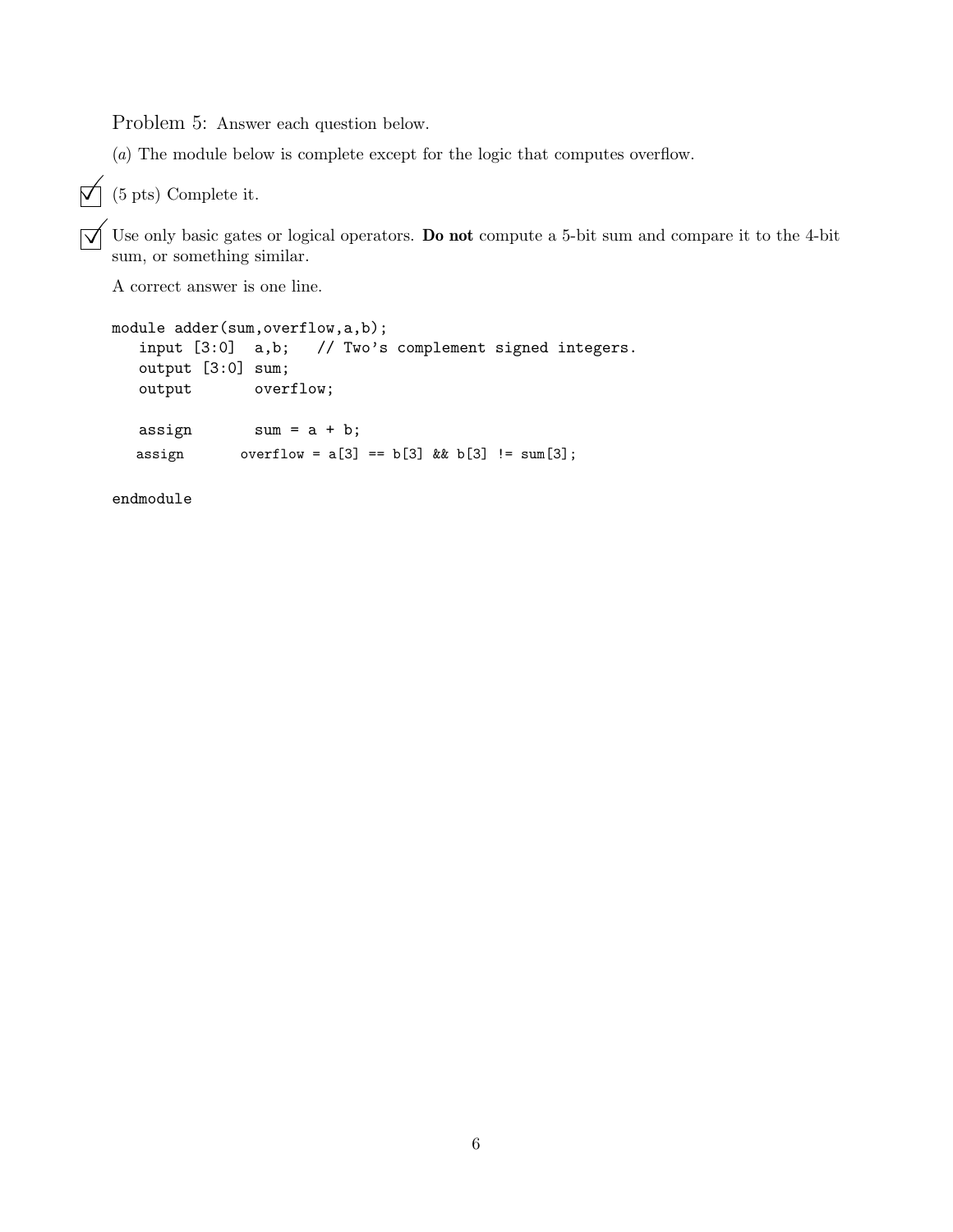Problem 5: Answer each question below.

(*a*) The module below is complete except for the logic that computes overflow.

## $\overrightarrow{p}$  (5 pts) Complete it.

 $\overrightarrow{\mathbf{Q}}$  Use only basic gates or logical operators. **Do not** compute a 5-bit sum and compare it to the 4-bit sum, or something similar.

A correct answer is one line.

```
module adder(sum, overflow, a, b);
   input [3:0] a,b; // Two's complement signed integers.
   output [3:0] sum;
   output overflow;
   \text{assign} \text{sum} = a + b;assign overflow = a[3] == b[3] & b[3] != sum[3];
```
endmodule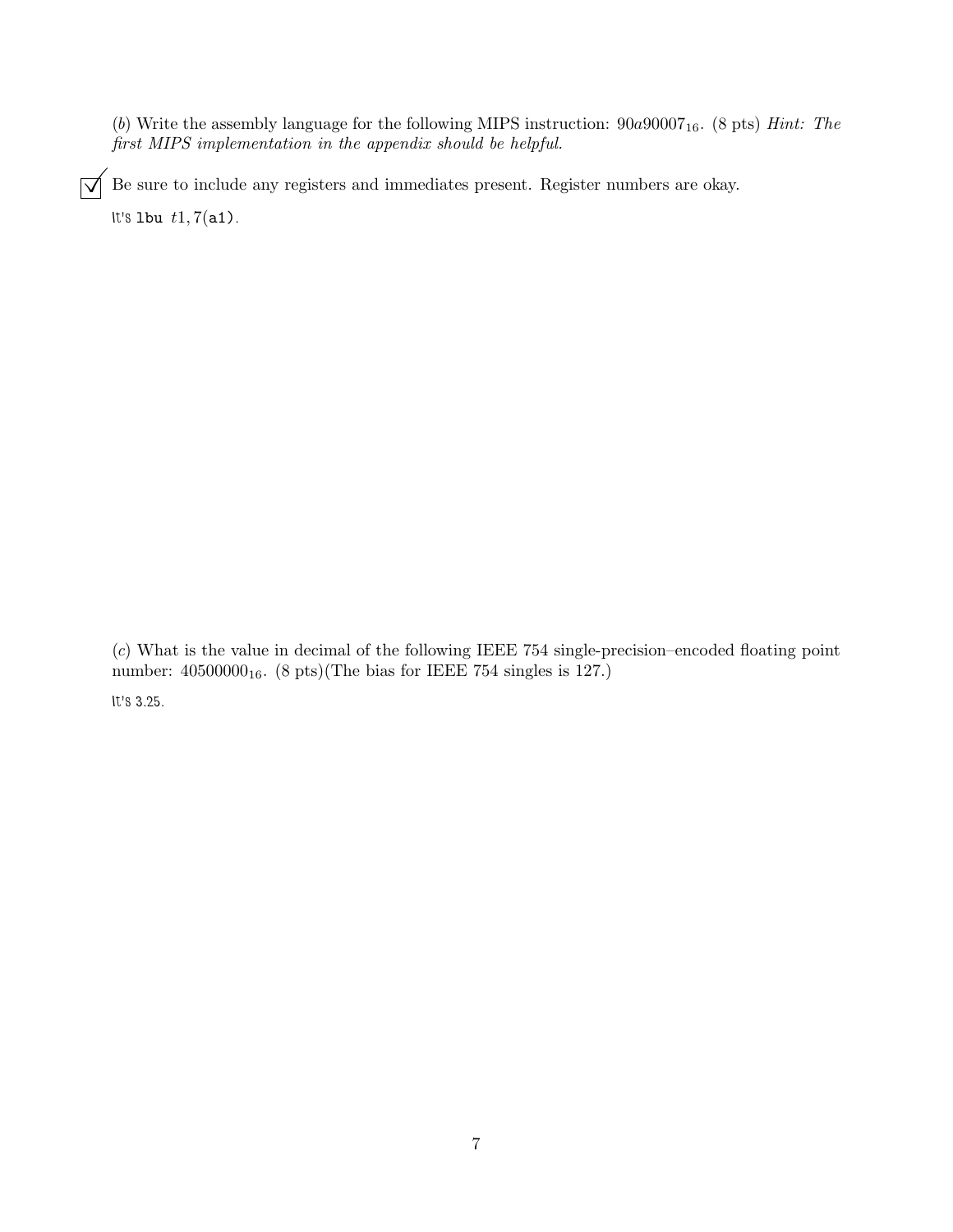(*b*) Write the assembly language for the following MIPS instruction:  $90a90007_{16}$ . (8 pts) *Hint: The first MIPS implementation in the appendix should be helpful.*

 $\boxed{\bigvee}$  Be sure to include any registers and immediates present. Register numbers are okay.

*It's* lbu t1, 7(a1)*.*

(*c*) What is the value in decimal of the following IEEE 754 single-precision–encoded floating point number:  $40500000<sub>16</sub>$ .  $(8 \text{ pts})(\text{The bias for IEEE } 754 \text{ singles is } 127.)$ 

*It's 3.25.*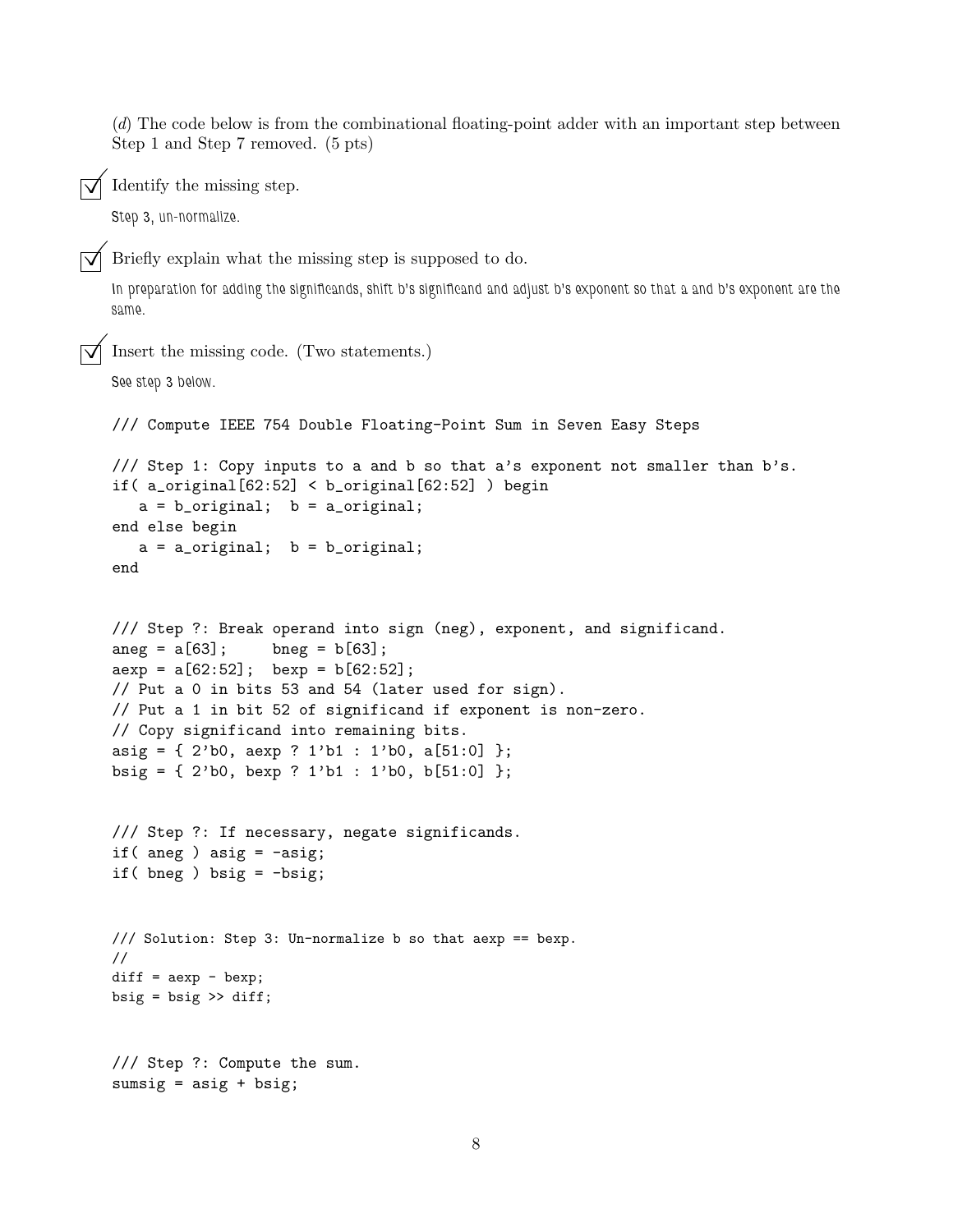(*d*) The code below is from the combinational floating-point adder with an important step between Step 1 and Step 7 removed. (5 pts)

 $\overline{\bigvee}$  Identify the missing step.

*Step 3, un-normalize.*

 $\overline{\bigvee}$  Briefly explain what the missing step is supposed to do.

*In preparation for adding the significands, shift b's significand and adjust b's exponent so that a and b's exponent are the same.*

```
©Insert the missing code. (Two statements.)
```

```
See step 3 below.
```

```
/// Compute IEEE 754 Double Floating-Point Sum in Seven Easy Steps
```

```
/// Step 1: Copy inputs to a and b so that a's exponent not smaller than b's.
if( a_original[62:52] < b_original[62:52] ) begin
  a = b_original; b = a_original;
end else begin
  a = a_original; b = b_original;
```

```
end
```

```
/// Step ?: Break operand into sign (neg), exponent, and significand.
\text{ang} = a[63]; \quad \text{bneg} = b[63];aexp = a[62:52]; bexp = b[62:52];
// Put a 0 in bits 53 and 54 (later used for sign).
// Put a 1 in bit 52 of significand if exponent is non-zero.
// Copy significand into remaining bits.
asig = \{ 2^{\prime}b0, aexp ? 1^{\prime}b1 : 1^{\prime}b0, a[51:0] \};
bsig = \{ 2^{\prime}b0, \text{bexp} ? 1^{\prime}b1 : 1^{\prime}b0, \text{b}[51:0] \};
```

```
/// Step ?: If necessary, negate significands.
if( aneg ) asig = -axis;
if( bneg ) bsig = -bsig;
```

```
/// Solution: Step 3: Un-normalize b so that aexp == bexp.
//
diff = aexp - bexp;bsig = bsig \gg diff;
```

```
/// Step ?: Compute the sum.
sumsig = \text{asig} + \text{bsig};
```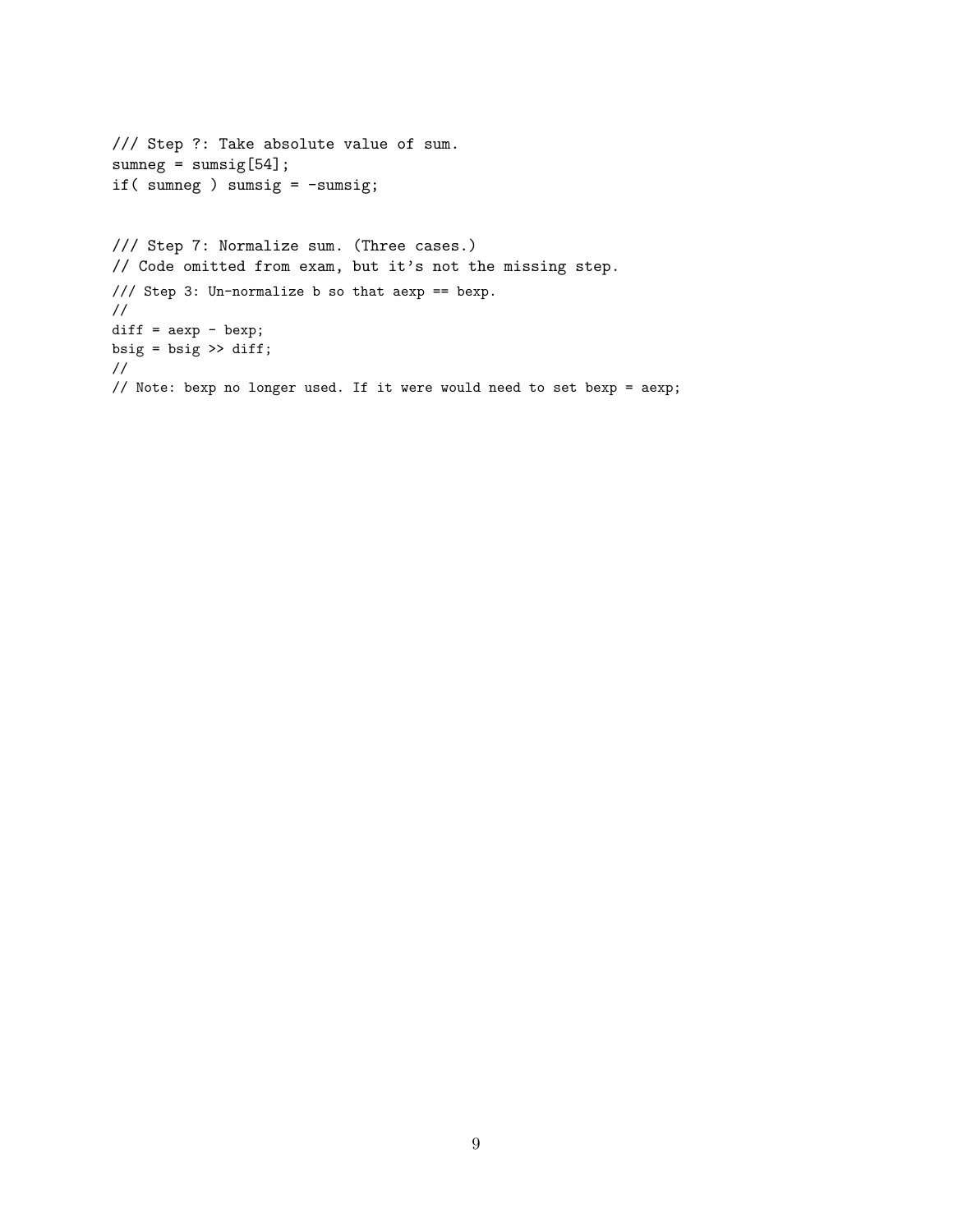```
/// Step ?: Take absolute value of sum.
sumneg = sumsig[54];if( sumneg ) sumsig = -sumsig;
/// Step 7: Normalize sum. (Three cases.)
// Code omitted from exam, but it's not the missing step.
/// Step 3: Un-normalize b so that aexp == bexp.
//
diff = aexp - bexp;bsig = bsig >> diff;
//
// Note: bexp no longer used. If it were would need to set bexp = aexp;
```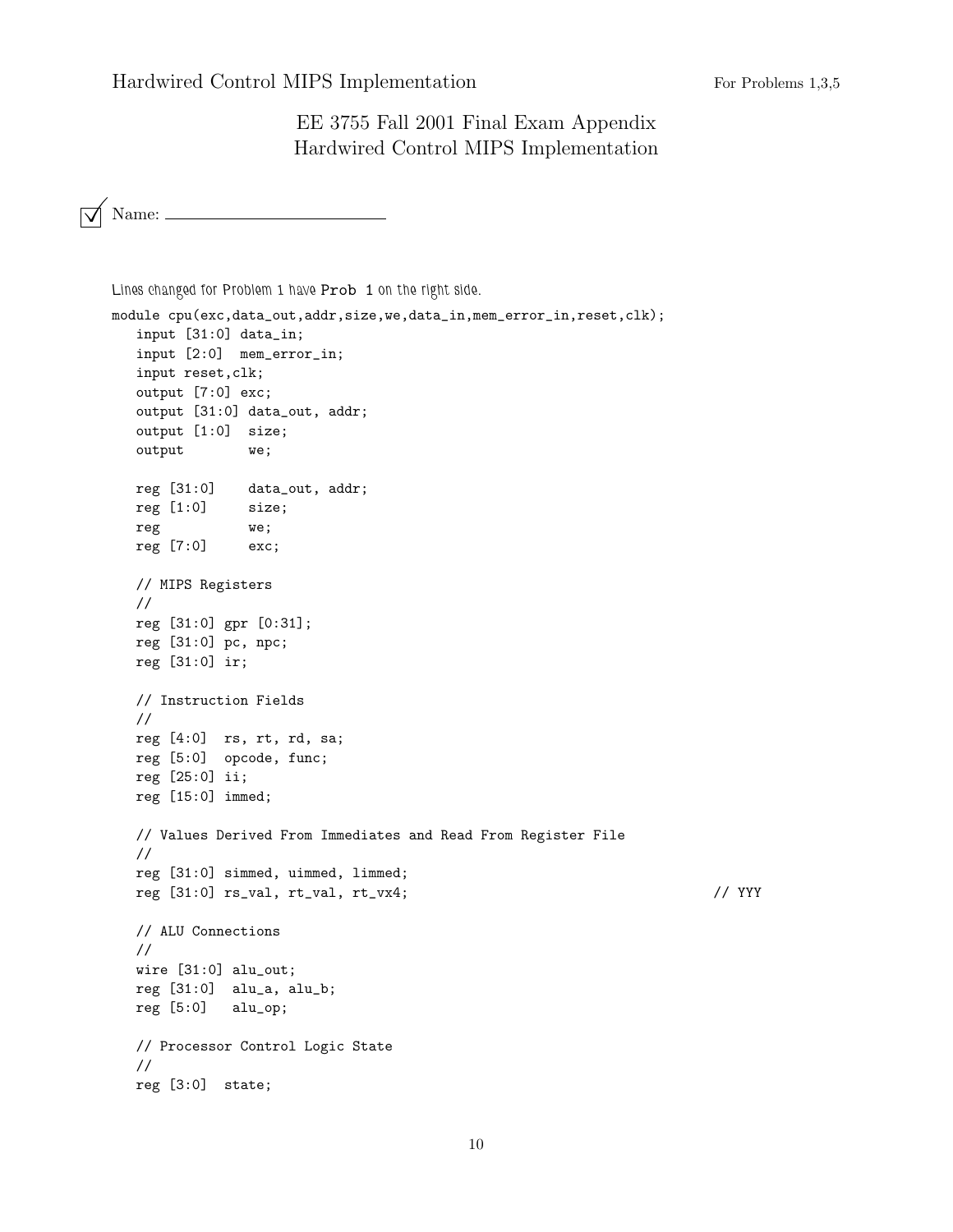Hardwired Control MIPS Implementation For Problems 1,3,5

EE 3755 Fall 2001 Final Exam Appendix Hardwired Control MIPS Implementation

 $\overline{\bigtriangledown}$  Name: \_

```
Lines changed for Problem 1 have Prob 1 on the right side.
module cpu(exc,data_out,addr,size,we,data_in,mem_error_in,reset,clk);
  input [31:0] data_in;
  input [2:0] mem_error_in;
  input reset,clk;
  output [7:0] exc;
  output [31:0] data_out, addr;
  output [1:0] size;
  output we;
  reg [31:0] data_out, addr;
  reg [1:0] size;
  reg we;
  reg [7:0] exc;
  // MIPS Registers
  //
  reg [31:0] gpr [0:31];
  reg [31:0] pc, npc;
  reg [31:0] ir;
  // Instruction Fields
  //
  reg [4:0] rs, rt, rd, sa;
  reg [5:0] opcode, func;
  reg [25:0] ii;
  reg [15:0] immed;
  // Values Derived From Immediates and Read From Register File
  //
  reg [31:0] simmed, uimmed, limmed;
  reg [31:0] rs_val, rt_val, rt_vx4; // YYY
  // ALU Connections
  //
  wire [31:0] alu_out;
  reg [31:0] alu_a, alu_b;
  reg [5:0] alu_op;
  // Processor Control Logic State
  //
  reg [3:0] state;
```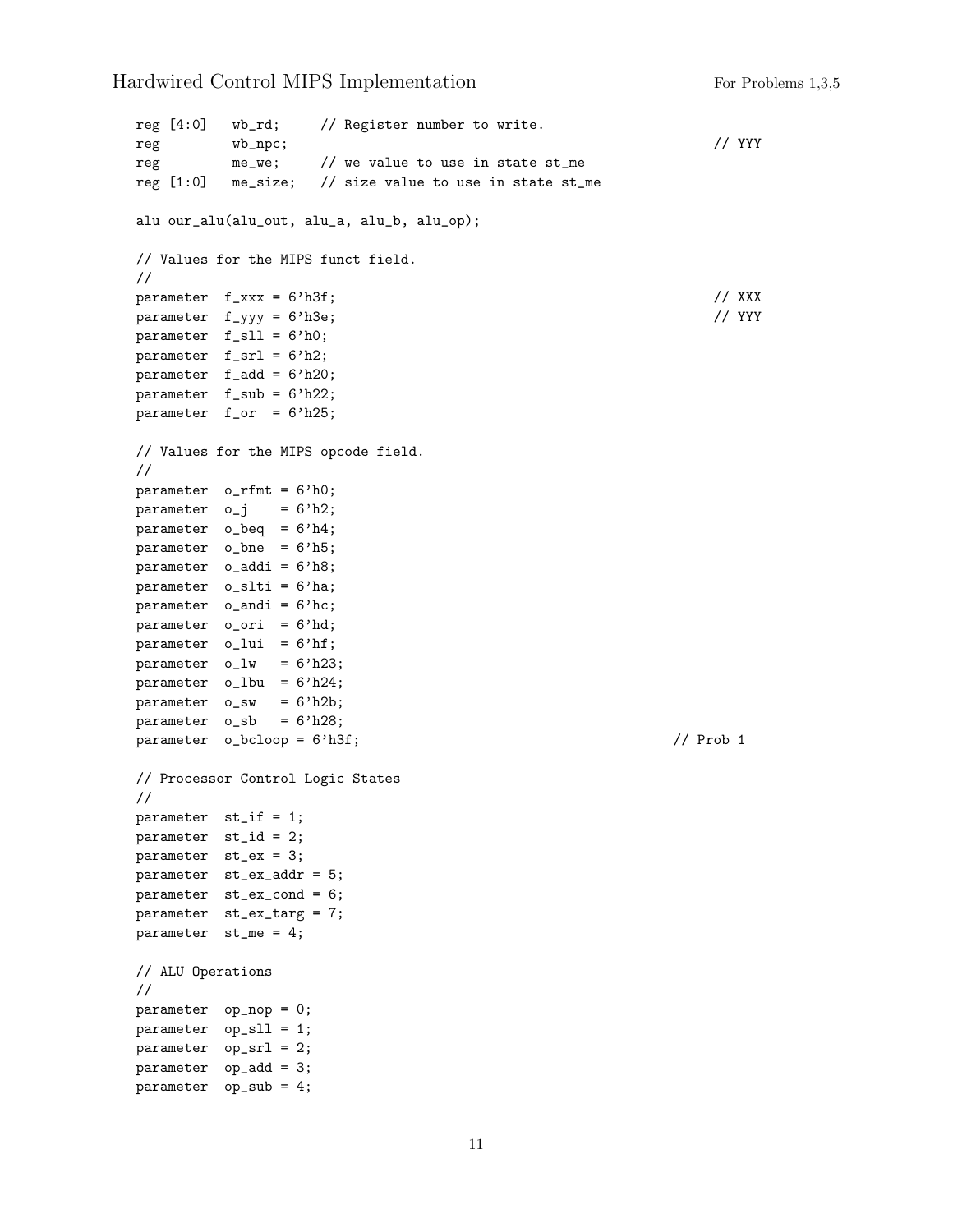Hardwired Control MIPS Implementation For Problems 1,3,5

```
reg [4:0] wb_rd; // Register number to write.
reg wb_npc; // YYY
reg me_we; // we value to use in state st_me
reg [1:0] me_size; // size value to use in state st_me
alu our_alu(alu_out, alu_a, alu_b, alu_op);
// Values for the MIPS funct field.
//
parameter f_{\text{max}} = 6' h3f; // XXX
parameter f_yyy = 6'h3e; // YYY
parameter f_sll = 6'h0;
parameter f_srl = 6'h2;
parameter f_add = 6'h20;
parameter f_sub = 6'h22;
parameter f_or = 6'h25;
// Values for the MIPS opcode field.
//
parameter o_rfmt = 6'h0;
parameter o_j = 6'h2;
parameter o_beq = 6'h4;
parameter o_bne = 6'h5;
parameter o_addi = 6'h8;
parameter o_slti = 6'ha;
parameter o_andi = 6'hc;
parameter o_ori = 6'hd;
parameter o_llui = 6'hf;
parameter o_l w = 6'h23;parameter o_lbu = 6'h24;
parameter o<sub>sw</sub> = 6'h2b;
parameter o_sb = 6'h28;
parameter o_bcloop = 6'h3f; // Prob 1
// Processor Control Logic States
//
parameter st_if = 1;
parameter st_id = 2;
parameter st_ex = 3;
parameter st_ex_addr = 5;
parameter st_ex_cond = 6;
parameter st_ex_targ = 7;
parameter st_me = 4;
// ALU Operations
//
parameter op_nop = 0;
parameter op_sll = 1;
parameter op_srl = 2;
parameter op_add = 3;
parameter op_sub = 4;
```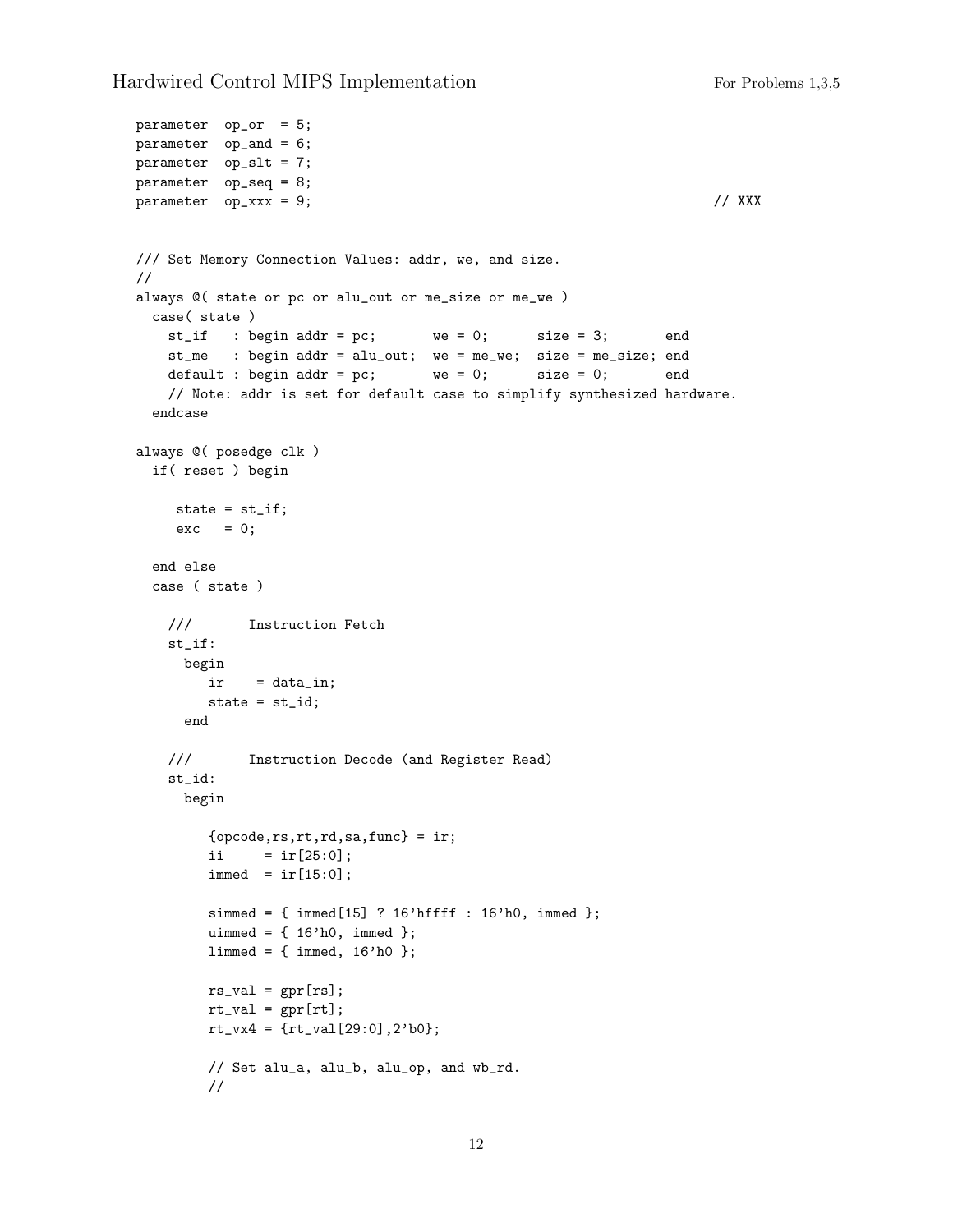```
parameter op_or = 5;
parameter op_and = 6;
parameter op_slt = 7;
parameter op_seq = 8;
parameter op_xxx = 9; // XXX
/// Set Memory Connection Values: addr, we, and size.
//
always @( state or pc or alu_out or me_size or me_we )
 case( state )
   st_if : begin addr = pc; we = 0; size = 3; end
   st_me : begin addr = alu_out; we = me_we; size = me_size; end
   default : begin addr = pc; we = 0; size = 0; end
   // Note: addr is set for default case to simplify synthesized hardware.
  endcase
always @( posedge clk )
  if( reset ) begin
    state = st_if;
    exc = 0;end else
  case ( state )
   /// Instruction Fetch
   st_if:
     begin
       ir = data_in;
       state = st_id;
     end
   /// Instruction Decode (and Register Read)
   st_id:
     begin
        \{opcode,rs,rt,rd,sa,func\} = ir;i i = ir[25:0];immed = ir[15:0];simmed = \{ \text{immed}[15] ? 16'hffff : 16'h0, immed \};uimmed = \{ 16'h0, \text{immed } \};limmed = {immed, 16'h0 };rs\_val = gpr[rs];rt_val = gpr[rt];rt_vx4 = \{rt_val[29:0], 2'b0\};// Set alu_a, alu_b, alu_op, and wb_rd.
        //
```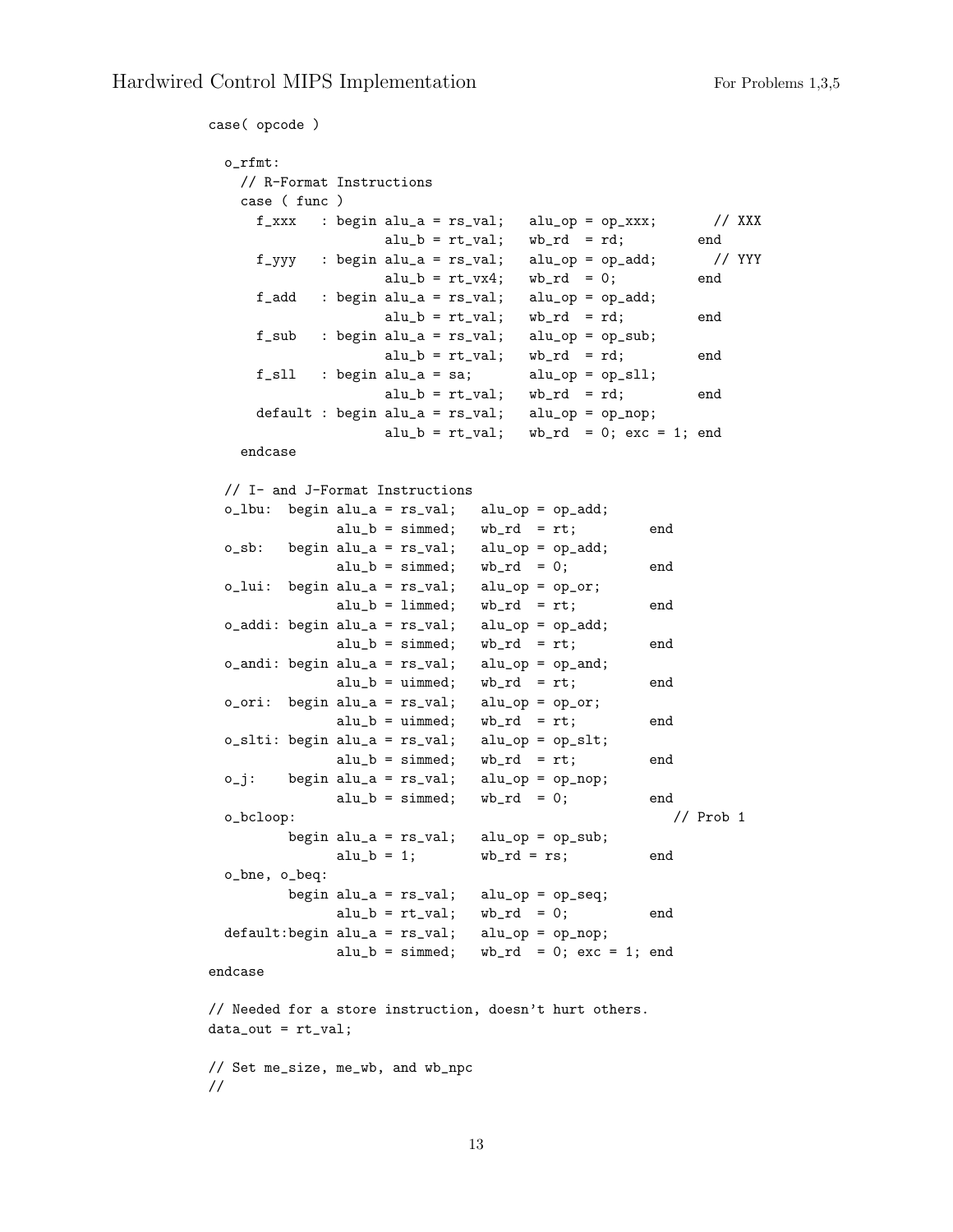```
case( opcode )
 o_rfmt:
   // R-Format Instructions
   case ( func )
     f_{\texttt{XXX}} : begin alu_a = rs_val; alu_op = op_xxx; // XXX
                  alu_b = rt_val; wb_rd = rd; end
    f_yyy : begin alu_a = rs_yval; alu_op = op_add; // YYY
                  alu_b = rt_vx4; wb_rd = 0; end
    f_add : begin alu_a = rs_val; alu_op = op_add;
                  alu_b = rt_val; wb_rd = rd; end
     f_sub : begin alu_a = rs_val; alu_op = op_sub;
                  alu_b = rt_val; wb_rd = rd; end
    f_s11 : begin alu_a = sa; alu_op = op_sll;
                  alu_b = rt_val; wb_rd = rd; end
    default : begin alu_a = rs_val; alu_op = op_nop;
                  alu_b = rt_val; wb_rd = 0; exc = 1; end
   endcase
 // I- and J-Format Instructions
 o_lbu: begin alu_a = rs_val; alu_op = op_add;
             alu_b = simmed; wb_Td = rt; end
 o_sb: begin alu_a = rs_val; alu_op = op_add;
             alu_b = simmed; wb_rd = 0; end
 o_lui: begin alu_a = rs_val; alu_op = op_or;
             alu_b = limmed; wb_rd = rt; end
 o_addi: begin alu_a = rs_val; alu_op = op_add;
             alu_b = simmed; wb_rd = rt; end
 o_andi: begin alu_a = rs_val; alu_op = op_and;
             alu_b = uimmed; wb\_rd = rt; end
 o_ori: begin alu_a = rs_val; alu_op = op_or;
             alu_b = uimmed; \quad wb_r d = rt; \quad endo_slti: begin alu_a = rs_val; alu_op = op_slt;
             alu_b = simmed; wb_Td = rt; end
 o_j: begin alu_a = rs_val; alu_op = op_nop;
             alu_b = simmed; wb_rd = 0; end
 o_bcloop: // Prob 1
        begin alu_a = rs_val; alu_op = op_sub;alu_b = 1; wb_r d = rs; end
 o_bne, o_beq:
        begin alu_a = rs_val; alu_op = op\_seq;
             alu_b = rt_val; wb_rd = 0; end
 default:begin alu_a = rs_val; alu_op = op_nop;
             alu_b = simmed; wb\_rd = 0; exc = 1; end
endcase
// Needed for a store instruction, doesn't hurt others.
data_out = rt_val;
```
// Set me\_size, me\_wb, and wb\_npc //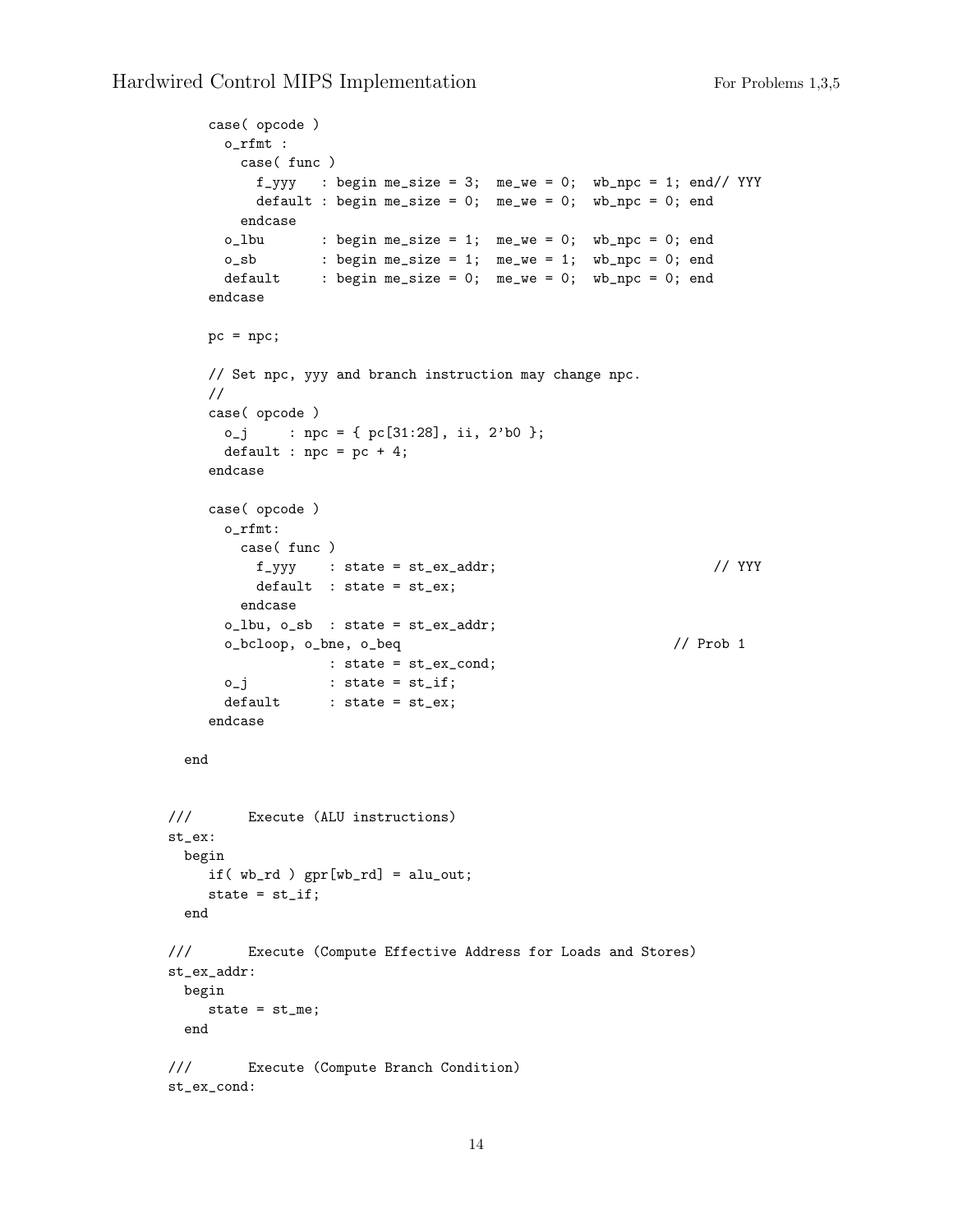```
case( opcode )
      o_rfmt :
       case( func )
         f_{yyy} : begin me_size = 3; me_we = 0; wb_npc = 1; end// YYY
         default : begin me_size = 0; me_we = 0; wb_npc = 0; end
        endcase
      o_lbu : begin me_size = 1; me_we = 0; wb_npc = 0; end
      o_sb : begin me_size = 1; me_we = 1; wb_npc = 0; end
      default : begin me_size = 0; me_we = 0; wb_npc = 0; end
    endcase
    pc = npc;// Set npc, yyy and branch instruction may change npc.
    //
    case( opcode )
     o_j : npc = { pc[31:28], ii, 2'b0 };
      default : npc = pc + 4;
    endcase
    case( opcode )
      o_rfmt:
       case( func )
         f_{\text{yyy}} : state = st_ex_addr; \frac{f}{f} // YYY
         default : state = st_ex;
       endcase
      o_lbu, o_sb : state = st_ex_addr;
      o_bcloop, o_bne, o_beq // Prob 1
                 : state = st_ex_cond;
      o_j : state = st_i;
      default : state = st_ex;
    endcase
 end
/// Execute (ALU instructions)
st_ex:
 begin
   if(wb_r d) gpr[wb_r d] = alu_out;state = st\_if;
 end
/// Execute (Compute Effective Address for Loads and Stores)
st_ex_addr:
 begin
    state = st_me;
 end
/// Execute (Compute Branch Condition)
st_ex_cond:
```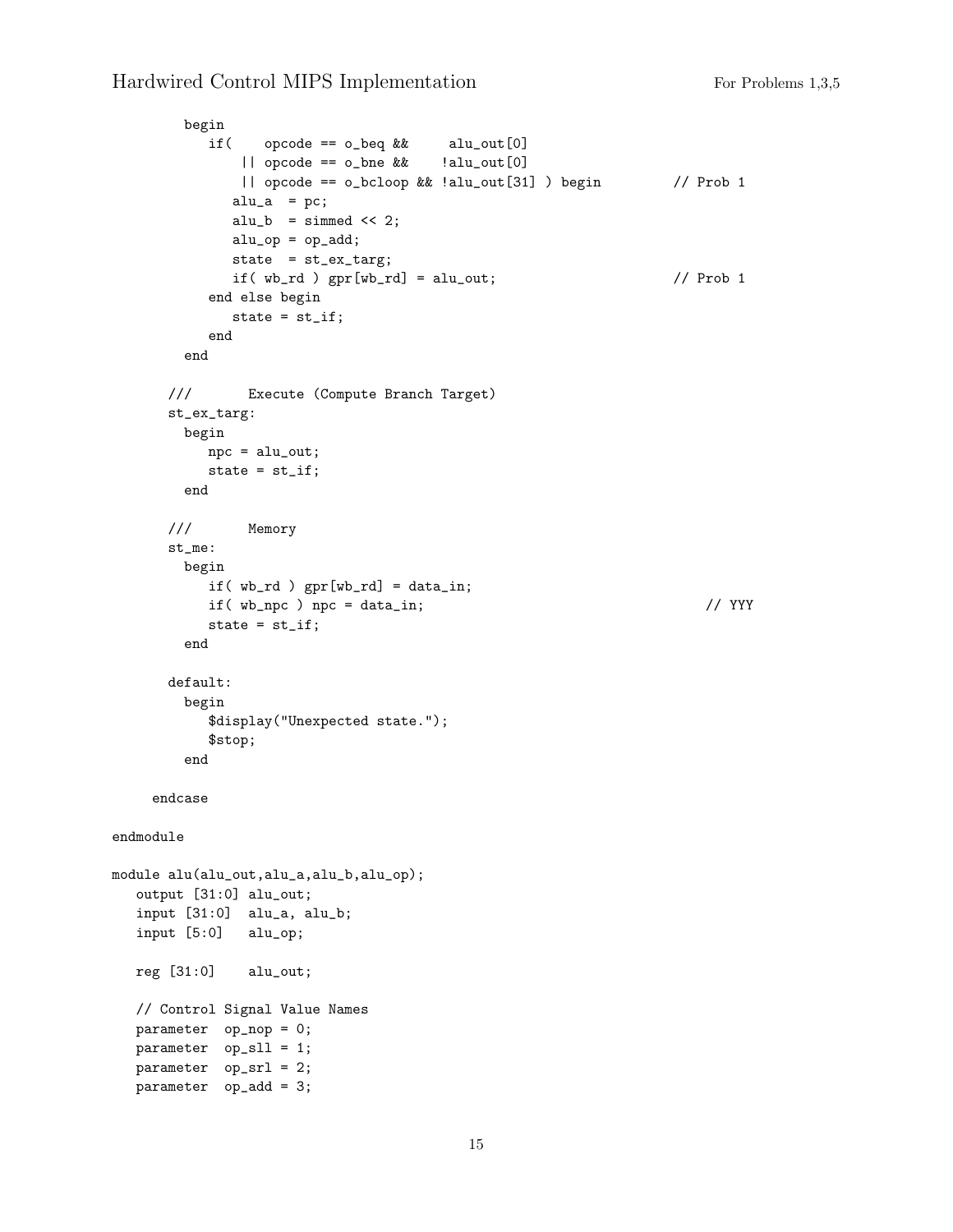```
begin
          if( opcode == o_beq && alu_out[0]
             || opcode == o_bne && !alu_out[0]
              || opcode == o_bcloop && !alu_out[31] ) begin // Prob 1
             alu_a = pc;
             alu_b = simmed << 2;
             alu_op = op\_add;state = st_ex_targ;
             if(wb_r d) gpr[wb_r d] = alu_out; // Prob 1
          end else begin
             state = st\_if;
          end
        end
      /// Execute (Compute Branch Target)
      st_ex_targ:
       begin
         npc = alu_out;
         state = st\_if;
        end
      /// Memory
      st_me:
       begin
          if( wb_rd ) gpr[wb_rd] = data_in;
          if(wb_npc) npc = data_in; // YYYstate = st\_if;
        end
      default:
       begin
          $display("Unexpected state.");
          $stop;
        end
    endcase
endmodule
module alu(alu_out,alu_a,alu_b,alu_op);
  output [31:0] alu_out;
  input [31:0] alu_a, alu_b;
  input [5:0] alu_op;
  reg [31:0] alu_out;
  // Control Signal Value Names
  parameter op_nop = 0;
  parameter op_sll = 1;
  parameter op_srl = 2;
  parameter op_add = 3;
```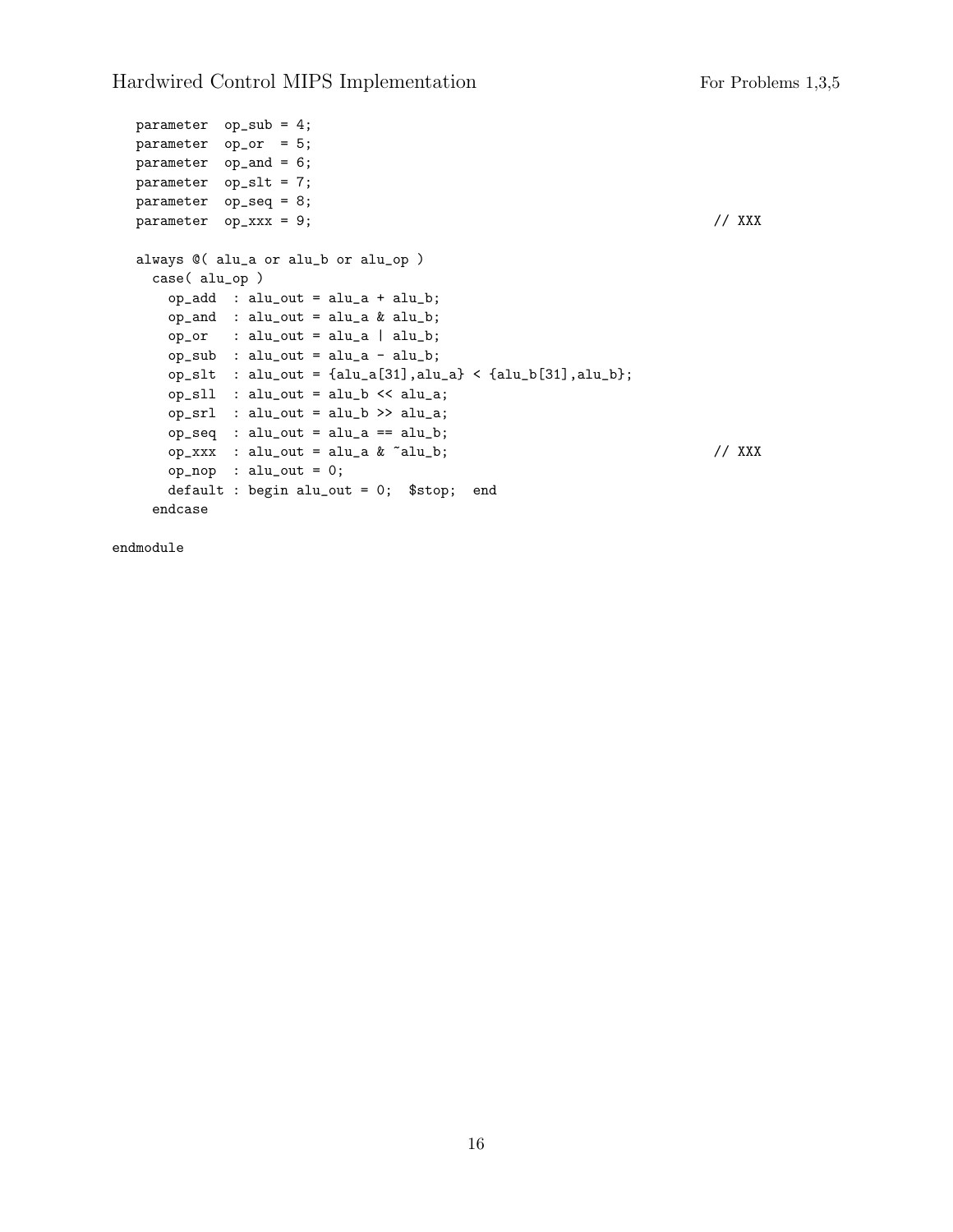```
parameter op_sub = 4;
parameter op_or = 5;
parameter op_and = 6;
parameter op_slt = 7;
parameter op_seq = 8;
parameter op_xxx = 9; // XXX
always @( alu_a or alu_b or alu_op )
 case( alu_op )
   op\_add : alu\_out = alu\_a + alu\_b;op_and : alu_out = alu_a & alu_b;
   op\_or : alu_out = alu_a | alu_b;
   op\_sub : alu_out = alu_a - alu_b;
   op_slt : alu_out = {alu_a[31],alu_a} < {alu_b[31],alu_b};
   op_sll : alu_out = alu_b << alu_a;
   op\_srl : alu_out = alu_b >> alu_a;
   op\_seq : alu\_out = alu\_a == alu\_b;op_xxx : alu_out = alu_a & ~alu_b; \frac{1}{2} // XXX
   op_nop : alu_out = 0;
   default : begin alu_out = 0; $stop; end
  endcase
```
endmodule